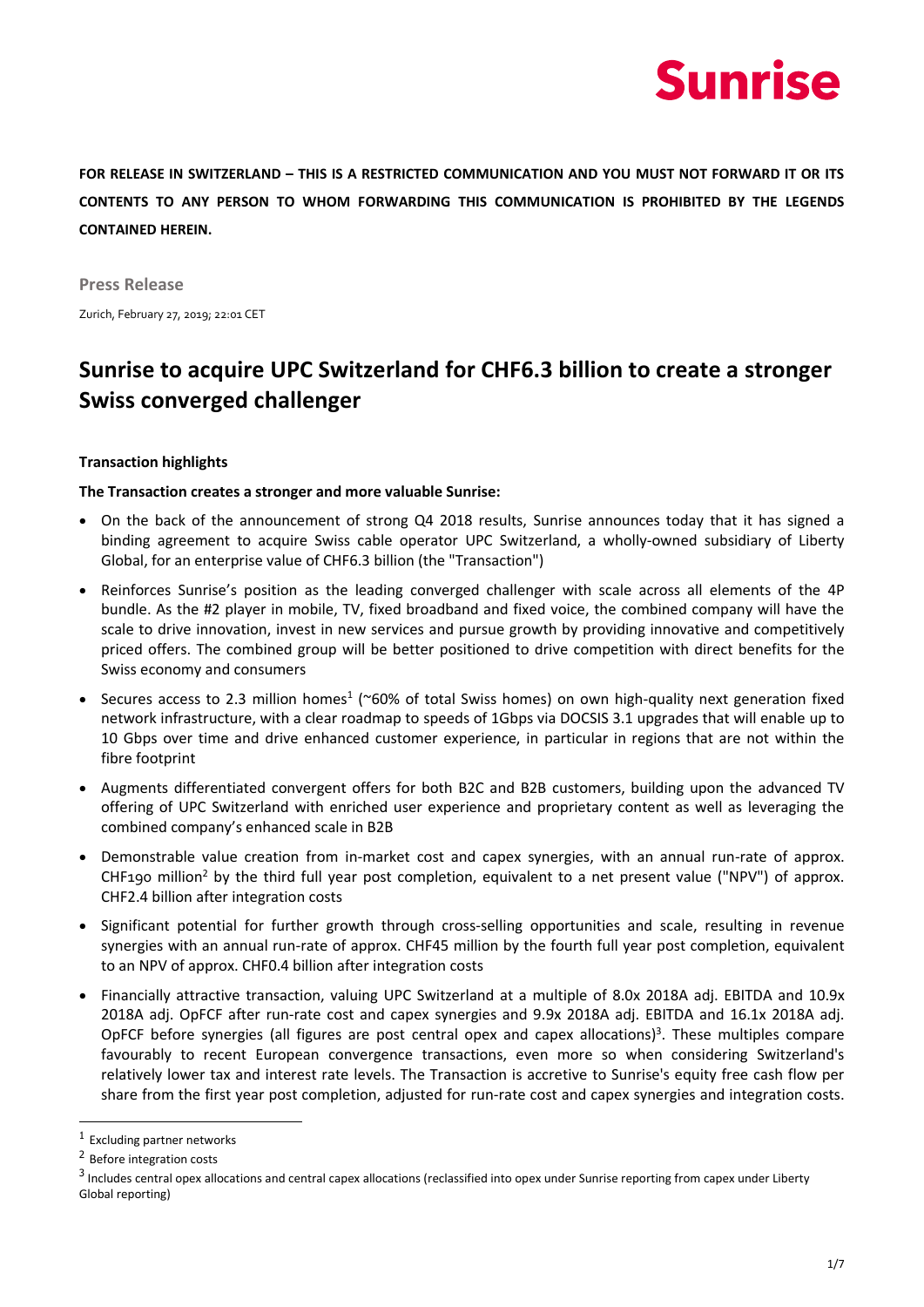# **Sunrise**

**FOR RELEASE IN SWITZERLAND – THIS IS A RESTRICTED COMMUNICATION AND YOU MUST NOT FORWARD IT OR ITS CONTENTS TO ANY PERSON TO WHOM FORWARDING THIS COMMUNICATION IS PROHIBITED BY THE LEGENDS CONTAINED HEREIN.**

**Press Release** Zurich, February 27, 2019; 22:01 CET

# **Sunrise to acquire UPC Switzerland for CHF6.3 billion to create a stronger Swiss converged challenger**

# **Transaction highlights**

# **The Transaction creates a stronger and more valuable Sunrise:**

- On the back of the announcement of strong Q4 2018 results, Sunrise announces today that it has signed a binding agreement to acquire Swiss cable operator UPC Switzerland, a wholly-owned subsidiary of Liberty Global, for an enterprise value of CHF6.3 billion (the "Transaction")
- Reinforces Sunrise's position as the leading converged challenger with scale across all elements of the 4P bundle. As the #2 player in mobile, TV, fixed broadband and fixed voice, the combined company will have the scale to drive innovation, invest in new services and pursue growth by providing innovative and competitively priced offers. The combined group will be better positioned to drive competition with direct benefits for the Swiss economy and consumers
- Secures access to 2.3 million homes<sup>1</sup> (~60% of total Swiss homes) on own high-quality next generation fixed network infrastructure, with a clear roadmap to speeds of 1Gbps via DOCSIS 3.1 upgrades that will enable up to 10 Gbps over time and drive enhanced customer experience, in particular in regions that are not within the fibre footprint
- Augments differentiated convergent offers for both B2C and B2B customers, building upon the advanced TV offering of UPC Switzerland with enriched user experience and proprietary content as well as leveraging the combined company's enhanced scale in B2B
- Demonstrable value creation from in-market cost and capex synergies, with an annual run-rate of approx. CHF190 million<sup>2</sup> by the third full year post completion, equivalent to a net present value ("NPV") of approx. CHF2.4 billion after integration costs
- Significant potential for further growth through cross-selling opportunities and scale, resulting in revenue synergies with an annual run-rate of approx. CHF45 million by the fourth full year post completion, equivalent to an NPV of approx. CHF0.4 billion after integration costs
- Financially attractive transaction, valuing UPC Switzerland at a multiple of 8.0x 2018A adj. EBITDA and 10.9x 2018A adj. OpFCF after run-rate cost and capex synergies and 9.9x 2018A adj. EBITDA and 16.1x 2018A adj. OpFCF before synergies (all figures are post central opex and capex allocations)<sup>3</sup>. These multiples compare favourably to recent European convergence transactions, even more so when considering Switzerland's relatively lower tax and interest rate levels. The Transaction is accretive to Sunrise's equity free cash flow per share from the first year post completion, adjusted for run-rate cost and capex synergies and integration costs.

-

<sup>1</sup> Excluding partner networks

<sup>&</sup>lt;sup>2</sup> Before integration costs

<sup>&</sup>lt;sup>3</sup> Includes central opex allocations and central capex allocations (reclassified into opex under Sunrise reporting from capex under Liberty Global reporting)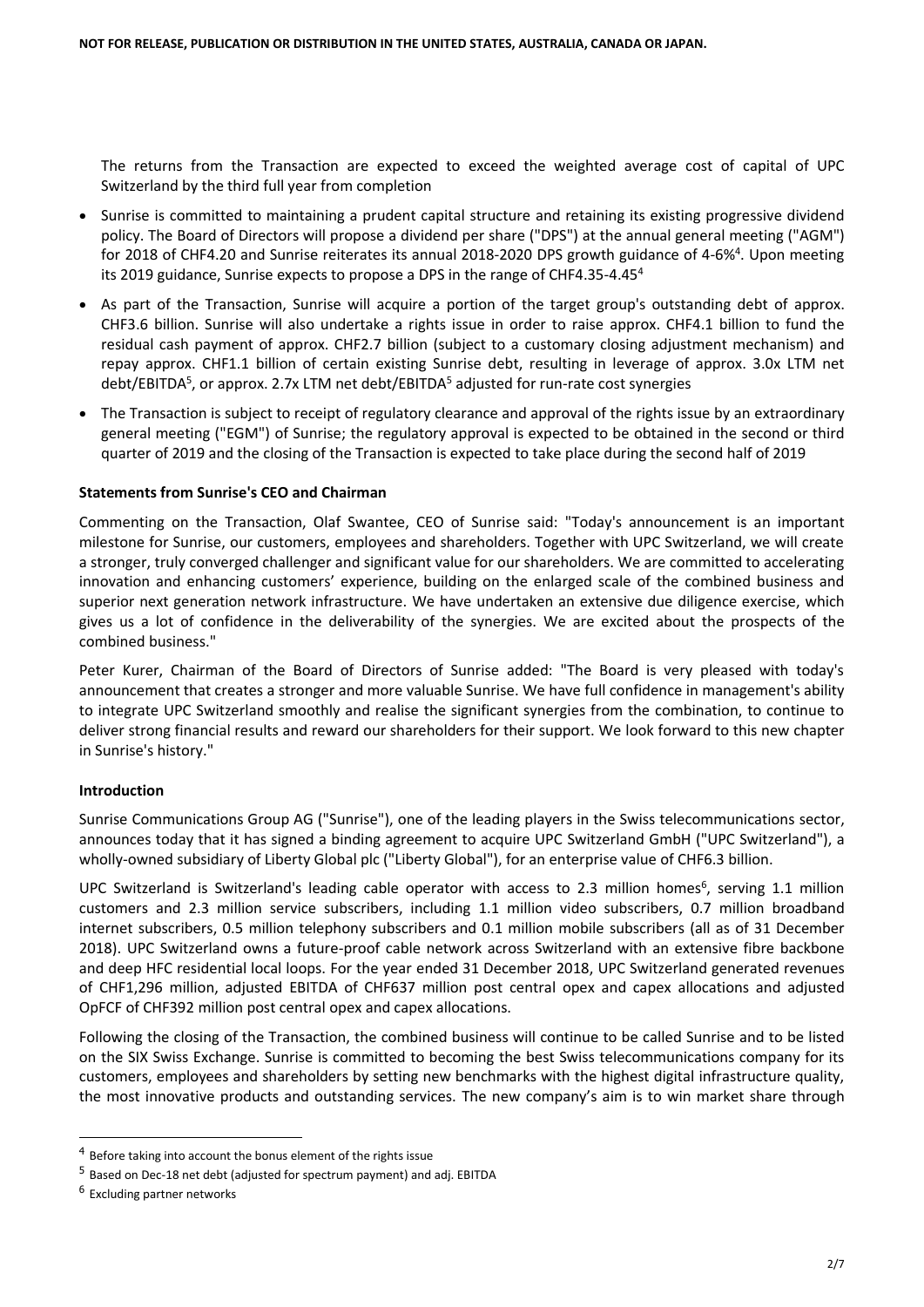The returns from the Transaction are expected to exceed the weighted average cost of capital of UPC Switzerland by the third full year from completion

- Sunrise is committed to maintaining a prudent capital structure and retaining its existing progressive dividend policy. The Board of Directors will propose a dividend per share ("DPS") at the annual general meeting ("AGM") for 2018 of CHF4.20 and Sunrise reiterates its annual 2018-2020 DPS growth guidance of 4-6%<sup>4</sup>. Upon meeting its 2019 guidance, Sunrise expects to propose a DPS in the range of CHF4.35-4.45<sup>4</sup>
- As part of the Transaction, Sunrise will acquire a portion of the target group's outstanding debt of approx. CHF3.6 billion. Sunrise will also undertake a rights issue in order to raise approx. CHF4.1 billion to fund the residual cash payment of approx. CHF2.7 billion (subject to a customary closing adjustment mechanism) and repay approx. CHF1.1 billion of certain existing Sunrise debt, resulting in leverage of approx. 3.0x LTM net debt/EBITDA<sup>5</sup>, or approx. 2.7x LTM net debt/EBITDA<sup>5</sup> adjusted for run-rate cost synergies
- The Transaction is subject to receipt of regulatory clearance and approval of the rights issue by an extraordinary general meeting ("EGM") of Sunrise; the regulatory approval is expected to be obtained in the second or third quarter of 2019 and the closing of the Transaction is expected to take place during the second half of 2019

# **Statements from Sunrise's CEO and Chairman**

Commenting on the Transaction, Olaf Swantee, CEO of Sunrise said: "Today's announcement is an important milestone for Sunrise, our customers, employees and shareholders. Together with UPC Switzerland, we will create a stronger, truly converged challenger and significant value for our shareholders. We are committed to accelerating innovation and enhancing customers' experience, building on the enlarged scale of the combined business and superior next generation network infrastructure. We have undertaken an extensive due diligence exercise, which gives us a lot of confidence in the deliverability of the synergies. We are excited about the prospects of the combined business."

Peter Kurer, Chairman of the Board of Directors of Sunrise added: "The Board is very pleased with today's announcement that creates a stronger and more valuable Sunrise. We have full confidence in management's ability to integrate UPC Switzerland smoothly and realise the significant synergies from the combination, to continue to deliver strong financial results and reward our shareholders for their support. We look forward to this new chapter in Sunrise's history."

## **Introduction**

Sunrise Communications Group AG ("Sunrise"), one of the leading players in the Swiss telecommunications sector, announces today that it has signed a binding agreement to acquire UPC Switzerland GmbH ("UPC Switzerland"), a wholly-owned subsidiary of Liberty Global plc ("Liberty Global"), for an enterprise value of CHF6.3 billion.

UPC Switzerland is Switzerland's leading cable operator with access to 2.3 million homes<sup>6</sup>, serving 1.1 million customers and 2.3 million service subscribers, including 1.1 million video subscribers, 0.7 million broadband internet subscribers, 0.5 million telephony subscribers and 0.1 million mobile subscribers (all as of 31 December 2018). UPC Switzerland owns a future-proof cable network across Switzerland with an extensive fibre backbone and deep HFC residential local loops. For the year ended 31 December 2018, UPC Switzerland generated revenues of CHF1,296 million, adjusted EBITDA of CHF637 million post central opex and capex allocations and adjusted OpFCF of CHF392 million post central opex and capex allocations.

Following the closing of the Transaction, the combined business will continue to be called Sunrise and to be listed on the SIX Swiss Exchange. Sunrise is committed to becoming the best Swiss telecommunications company for its customers, employees and shareholders by setting new benchmarks with the highest digital infrastructure quality, the most innovative products and outstanding services. The new company's aim is to win market share through

-

<sup>&</sup>lt;sup>4</sup> Before taking into account the bonus element of the rights issue

<sup>5</sup> Based on Dec-18 net debt (adjusted for spectrum payment) and adj. EBITDA

<sup>6</sup> Excluding partner networks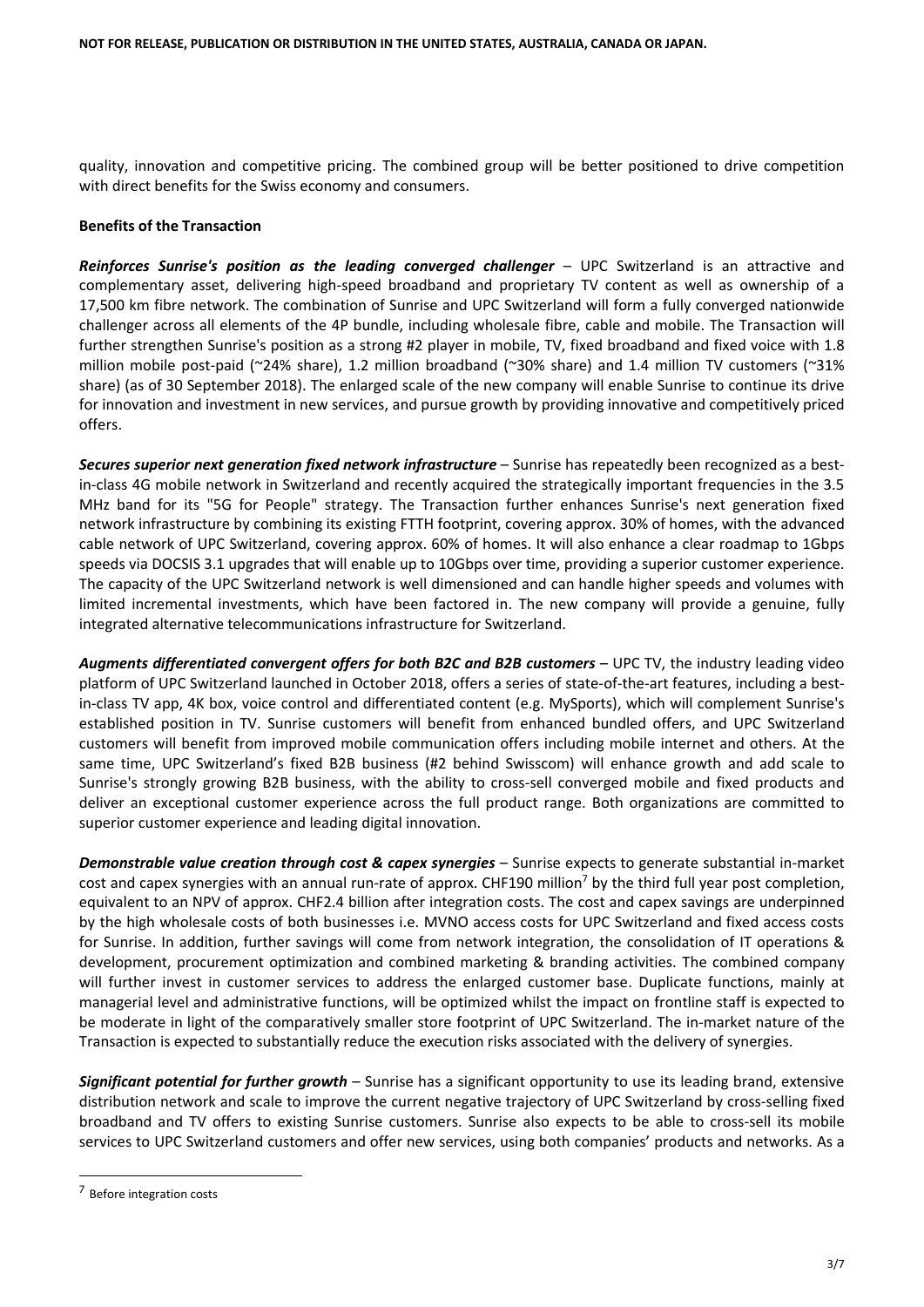quality, innovation and competitive pricing. The combined group will be better positioned to drive competition with direct benefits for the Swiss economy and consumers.

# **Benefits of the Transaction**

*Reinforces Sunrise's position as the leading converged challenger* – UPC Switzerland is an attractive and complementary asset, delivering high-speed broadband and proprietary TV content as well as ownership of a 17,500 km fibre network. The combination of Sunrise and UPC Switzerland will form a fully converged nationwide challenger across all elements of the 4P bundle, including wholesale fibre, cable and mobile. The Transaction will further strengthen Sunrise's position as a strong #2 player in mobile, TV, fixed broadband and fixed voice with 1.8 million mobile post-paid (~24% share), 1.2 million broadband (~30% share) and 1.4 million TV customers (~31% share) (as of 30 September 2018). The enlarged scale of the new company will enable Sunrise to continue its drive for innovation and investment in new services, and pursue growth by providing innovative and competitively priced offers.

*Secures superior next generation fixed network infrastructure* – Sunrise has repeatedly been recognized as a bestin-class 4G mobile network in Switzerland and recently acquired the strategically important frequencies in the 3.5 MHz band for its "5G for People" strategy. The Transaction further enhances Sunrise's next generation fixed network infrastructure by combining its existing FTTH footprint, covering approx. 30% of homes, with the advanced cable network of UPC Switzerland, covering approx. 60% of homes. It will also enhance a clear roadmap to 1Gbps speeds via DOCSIS 3.1 upgrades that will enable up to 10Gbps over time, providing a superior customer experience. The capacity of the UPC Switzerland network is well dimensioned and can handle higher speeds and volumes with limited incremental investments, which have been factored in. The new company will provide a genuine, fully integrated alternative telecommunications infrastructure for Switzerland.

*Augments differentiated convergent offers for both B2C and B2B customers* – UPC TV, the industry leading video platform of UPC Switzerland launched in October 2018, offers a series of state-of-the-art features, including a bestin-class TV app, 4K box, voice control and differentiated content (e.g. MySports), which will complement Sunrise's established position in TV. Sunrise customers will benefit from enhanced bundled offers, and UPC Switzerland customers will benefit from improved mobile communication offers including mobile internet and others. At the same time, UPC Switzerland's fixed B2B business (#2 behind Swisscom) will enhance growth and add scale to Sunrise's strongly growing B2B business, with the ability to cross-sell converged mobile and fixed products and deliver an exceptional customer experience across the full product range. Both organizations are committed to superior customer experience and leading digital innovation.

*Demonstrable value creation through cost & capex synergies* – Sunrise expects to generate substantial in-market cost and capex synergies with an annual run-rate of approx. CHF190 million<sup>7</sup> by the third full year post completion, equivalent to an NPV of approx. CHF2.4 billion after integration costs. The cost and capex savings are underpinned by the high wholesale costs of both businesses i.e. MVNO access costs for UPC Switzerland and fixed access costs for Sunrise. In addition, further savings will come from network integration, the consolidation of IT operations & development, procurement optimization and combined marketing & branding activities. The combined company will further invest in customer services to address the enlarged customer base. Duplicate functions, mainly at managerial level and administrative functions, will be optimized whilst the impact on frontline staff is expected to be moderate in light of the comparatively smaller store footprint of UPC Switzerland. The in-market nature of the Transaction is expected to substantially reduce the execution risks associated with the delivery of synergies.

*Significant potential for further growth* – Sunrise has a significant opportunity to use its leading brand, extensive distribution network and scale to improve the current negative trajectory of UPC Switzerland by cross-selling fixed broadband and TV offers to existing Sunrise customers. Sunrise also expects to be able to cross-sell its mobile services to UPC Switzerland customers and offer new services, using both companies' products and networks. As a

-

<sup>&</sup>lt;sup>7</sup> Before integration costs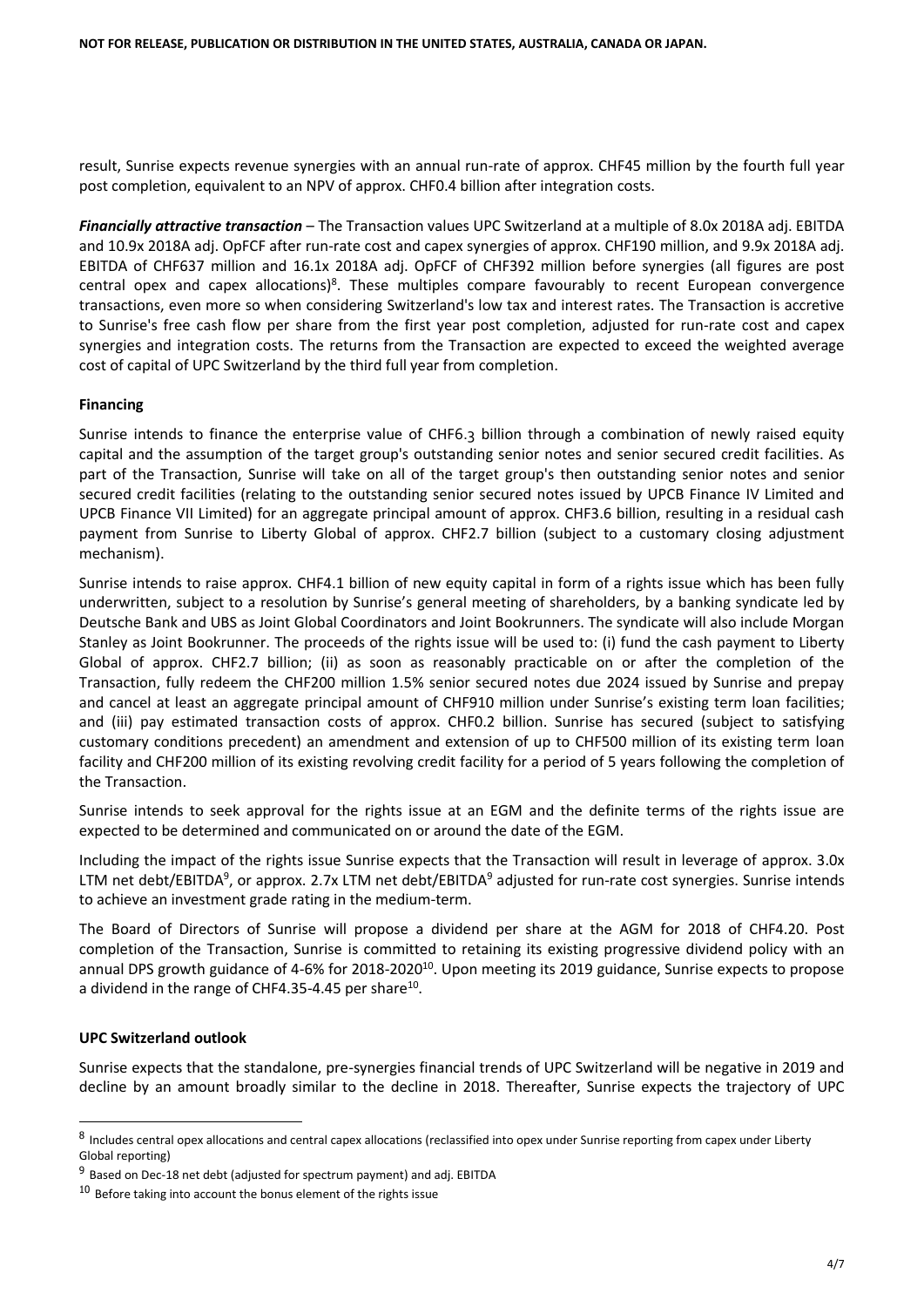result, Sunrise expects revenue synergies with an annual run-rate of approx. CHF45 million by the fourth full year post completion, equivalent to an NPV of approx. CHF0.4 billion after integration costs.

*Financially attractive transaction* – The Transaction values UPC Switzerland at a multiple of 8.0x 2018A adj. EBITDA and 10.9x 2018A adj. OpFCF after run-rate cost and capex synergies of approx. CHF190 million, and 9.9x 2018A adj. EBITDA of CHF637 million and 16.1x 2018A adj. OpFCF of CHF392 million before synergies (all figures are post central opex and capex allocations)<sup>8</sup>. These multiples compare favourably to recent European convergence transactions, even more so when considering Switzerland's low tax and interest rates. The Transaction is accretive to Sunrise's free cash flow per share from the first year post completion, adjusted for run-rate cost and capex synergies and integration costs. The returns from the Transaction are expected to exceed the weighted average cost of capital of UPC Switzerland by the third full year from completion.

# **Financing**

Sunrise intends to finance the enterprise value of CHF6.3 billion through a combination of newly raised equity capital and the assumption of the target group's outstanding senior notes and senior secured credit facilities. As part of the Transaction, Sunrise will take on all of the target group's then outstanding senior notes and senior secured credit facilities (relating to the outstanding senior secured notes issued by UPCB Finance IV Limited and UPCB Finance VII Limited) for an aggregate principal amount of approx. CHF3.6 billion, resulting in a residual cash payment from Sunrise to Liberty Global of approx. CHF2.7 billion (subject to a customary closing adjustment mechanism).

Sunrise intends to raise approx. CHF4.1 billion of new equity capital in form of a rights issue which has been fully underwritten, subject to a resolution by Sunrise's general meeting of shareholders, by a banking syndicate led by Deutsche Bank and UBS as Joint Global Coordinators and Joint Bookrunners. The syndicate will also include Morgan Stanley as Joint Bookrunner. The proceeds of the rights issue will be used to: (i) fund the cash payment to Liberty Global of approx. CHF2.7 billion; (ii) as soon as reasonably practicable on or after the completion of the Transaction, fully redeem the CHF200 million 1.5% senior secured notes due 2024 issued by Sunrise and prepay and cancel at least an aggregate principal amount of CHF910 million under Sunrise's existing term loan facilities; and (iii) pay estimated transaction costs of approx. CHF0.2 billion. Sunrise has secured (subject to satisfying customary conditions precedent) an amendment and extension of up to CHF500 million of its existing term loan facility and CHF200 million of its existing revolving credit facility for a period of 5 years following the completion of the Transaction.

Sunrise intends to seek approval for the rights issue at an EGM and the definite terms of the rights issue are expected to be determined and communicated on or around the date of the EGM.

Including the impact of the rights issue Sunrise expects that the Transaction will result in leverage of approx. 3.0x LTM net debt/EBITDA<sup>9</sup>, or approx. 2.7x LTM net debt/EBITDA<sup>9</sup> adjusted for run-rate cost synergies. Sunrise intends to achieve an investment grade rating in the medium-term.

The Board of Directors of Sunrise will propose a dividend per share at the AGM for 2018 of CHF4.20. Post completion of the Transaction, Sunrise is committed to retaining its existing progressive dividend policy with an annual DPS growth guidance of 4-6% for 2018-2020<sup>10</sup>. Upon meeting its 2019 guidance, Sunrise expects to propose a dividend in the range of CHF4.35-4.45 per share<sup>10</sup>.

# **UPC Switzerland outlook**

-

Sunrise expects that the standalone, pre-synergies financial trends of UPC Switzerland will be negative in 2019 and decline by an amount broadly similar to the decline in 2018. Thereafter, Sunrise expects the trajectory of UPC

 $^8$  Includes central opex allocations and central capex allocations (reclassified into opex under Sunrise reporting from capex under Liberty Global reporting)

<sup>&</sup>lt;sup>9</sup> Based on Dec-18 net debt (adjusted for spectrum payment) and adj. EBITDA

 $10<sup>10</sup>$  Before taking into account the bonus element of the rights issue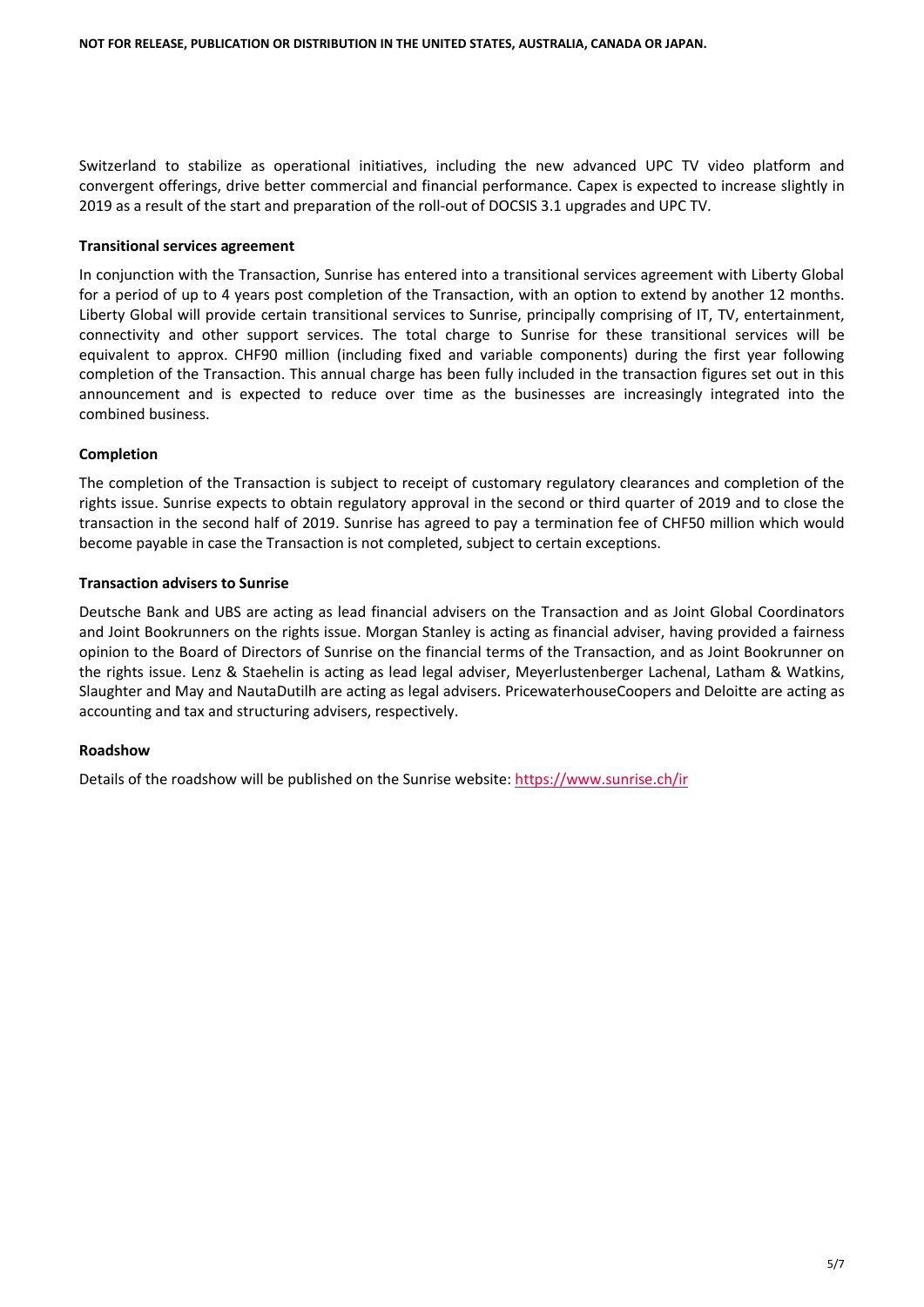Switzerland to stabilize as operational initiatives, including the new advanced UPC TV video platform and convergent offerings, drive better commercial and financial performance. Capex is expected to increase slightly in 2019 as a result of the start and preparation of the roll-out of DOCSIS 3.1 upgrades and UPC TV.

## **Transitional services agreement**

In conjunction with the Transaction, Sunrise has entered into a transitional services agreement with Liberty Global for a period of up to 4 years post completion of the Transaction, with an option to extend by another 12 months. Liberty Global will provide certain transitional services to Sunrise, principally comprising of IT, TV, entertainment, connectivity and other support services. The total charge to Sunrise for these transitional services will be equivalent to approx. CHF90 million (including fixed and variable components) during the first year following completion of the Transaction. This annual charge has been fully included in the transaction figures set out in this announcement and is expected to reduce over time as the businesses are increasingly integrated into the combined business.

## **Completion**

The completion of the Transaction is subject to receipt of customary regulatory clearances and completion of the rights issue. Sunrise expects to obtain regulatory approval in the second or third quarter of 2019 and to close the transaction in the second half of 2019. Sunrise has agreed to pay a termination fee of CHF50 million which would become payable in case the Transaction is not completed, subject to certain exceptions.

#### **Transaction advisers to Sunrise**

Deutsche Bank and UBS are acting as lead financial advisers on the Transaction and as Joint Global Coordinators and Joint Bookrunners on the rights issue. Morgan Stanley is acting as financial adviser, having provided a fairness opinion to the Board of Directors of Sunrise on the financial terms of the Transaction, and as Joint Bookrunner on the rights issue. Lenz & Staehelin is acting as lead legal adviser, Meyerlustenberger Lachenal, Latham & Watkins, Slaughter and May and NautaDutilh are acting as legal advisers. PricewaterhouseCoopers and Deloitte are acting as accounting and tax and structuring advisers, respectively.

## **Roadshow**

Details of the roadshow will be published on the Sunrise website: <https://www.sunrise.ch/ir>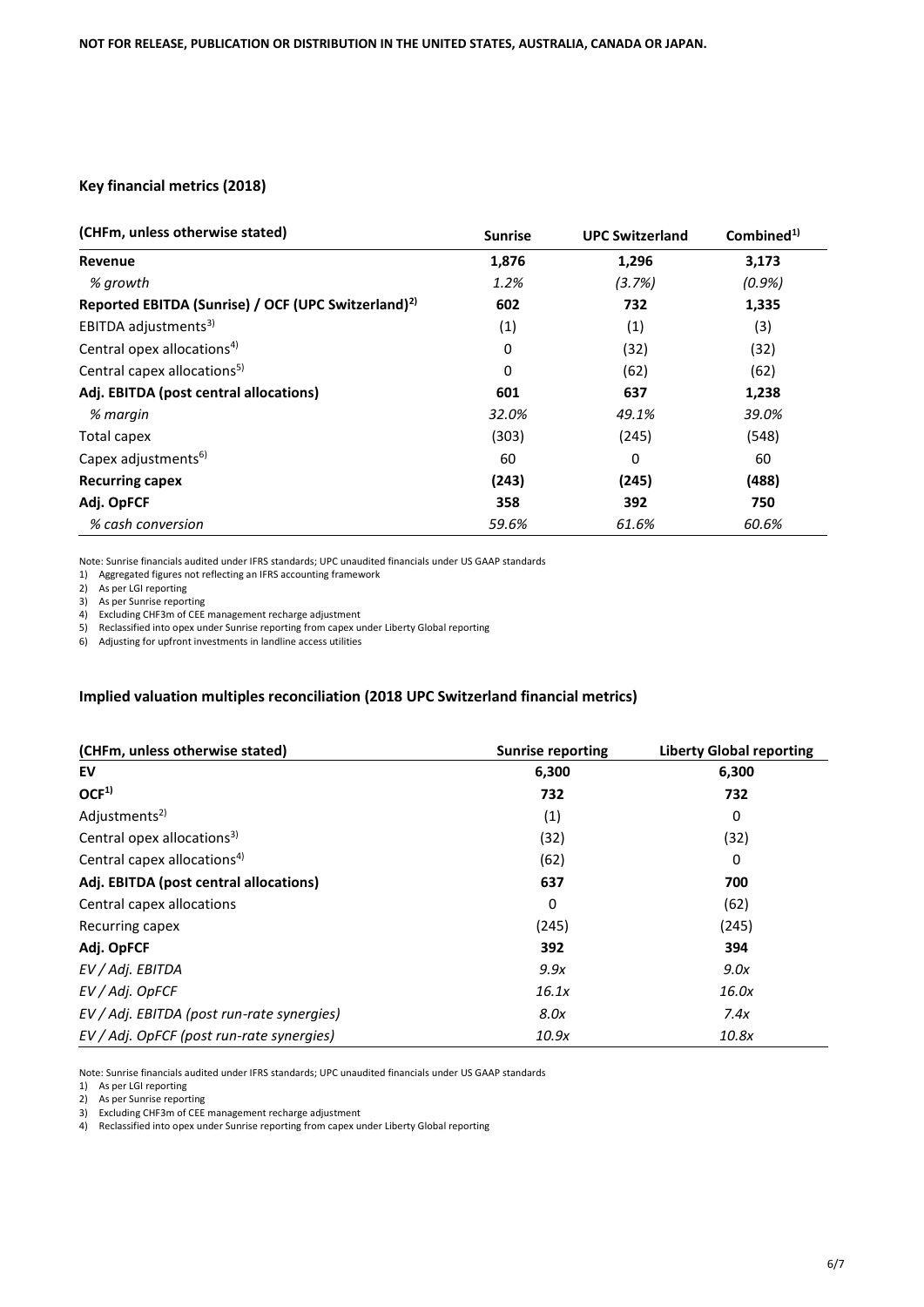## **Key financial metrics (2018)**

| (CHFm, unless otherwise stated)                                 | <b>Sunrise</b> | <b>UPC Switzerland</b> | Combined <sup>1)</sup> |
|-----------------------------------------------------------------|----------------|------------------------|------------------------|
| Revenue                                                         | 1,876          | 1,296                  | 3,173                  |
| % arowth                                                        | 1.2%           | (3.7%)                 | $(0.9\%)$              |
| Reported EBITDA (Sunrise) / OCF (UPC Switzerland) <sup>2)</sup> | 602            | 732                    | 1,335                  |
| EBITDA adjustments <sup>3)</sup>                                | (1)            | (1)                    | (3)                    |
| Central opex allocations <sup>4)</sup>                          | 0              | (32)                   | (32)                   |
| Central capex allocations <sup>5)</sup>                         | 0              | (62)                   | (62)                   |
| Adj. EBITDA (post central allocations)                          | 601            | 637                    | 1,238                  |
| % margin                                                        | 32.0%          | 49.1%                  | 39.0%                  |
| Total capex                                                     | (303)          | (245)                  | (548)                  |
| Capex adjustments <sup>6)</sup>                                 | 60             | 0                      | 60                     |
| <b>Recurring capex</b>                                          | (243)          | (245)                  | (488)                  |
| Adj. OpFCF                                                      | 358            | 392                    | 750                    |
| % cash conversion                                               | 59.6%          | 61.6%                  | 60.6%                  |

Note: Sunrise financials audited under IFRS standards; UPC unaudited financials under US GAAP standards

1) Aggregated figures not reflecting an IFRS accounting framework

2) As per LGI reporting

3) As per Sunrise reporting

4) Excluding CHF3m of CEE management recharge adjustment

5) Reclassified into opex under Sunrise reporting from capex under Liberty Global reporting

6) Adjusting for upfront investments in landline access utilities

#### **Implied valuation multiples reconciliation (2018 UPC Switzerland financial metrics)**

| (CHFm, unless otherwise stated)            | <b>Sunrise reporting</b> | <b>Liberty Global reporting</b> |
|--------------------------------------------|--------------------------|---------------------------------|
| EV                                         | 6,300                    | 6,300                           |
| OCF <sup>1</sup>                           | 732                      | 732                             |
| Adjustments <sup>2)</sup>                  | (1)                      | 0                               |
| Central opex allocations <sup>3)</sup>     | (32)                     | (32)                            |
| Central capex allocations <sup>4)</sup>    | (62)                     | 0                               |
| Adj. EBITDA (post central allocations)     | 637                      | 700                             |
| Central capex allocations                  | 0                        | (62)                            |
| Recurring capex                            | (245)                    | (245)                           |
| Adj. OpFCF                                 | 392                      | 394                             |
| EV / Adj. EBITDA                           | 9.9x                     | 9.0x                            |
| EV / Adj. OpFCF                            | 16.1x                    | 16.0x                           |
| EV / Adj. EBITDA (post run-rate synergies) | 8.0x                     | 7.4x                            |
| EV / Adj. OpFCF (post run-rate synergies)  | 10.9x                    | 10.8x                           |

Note: Sunrise financials audited under IFRS standards; UPC unaudited financials under US GAAP standards

1) As per LGI reporting

2) As per Sunrise reporting

3) Excluding CHF3m of CEE management recharge adjustment

4) Reclassified into opex under Sunrise reporting from capex under Liberty Global reporting